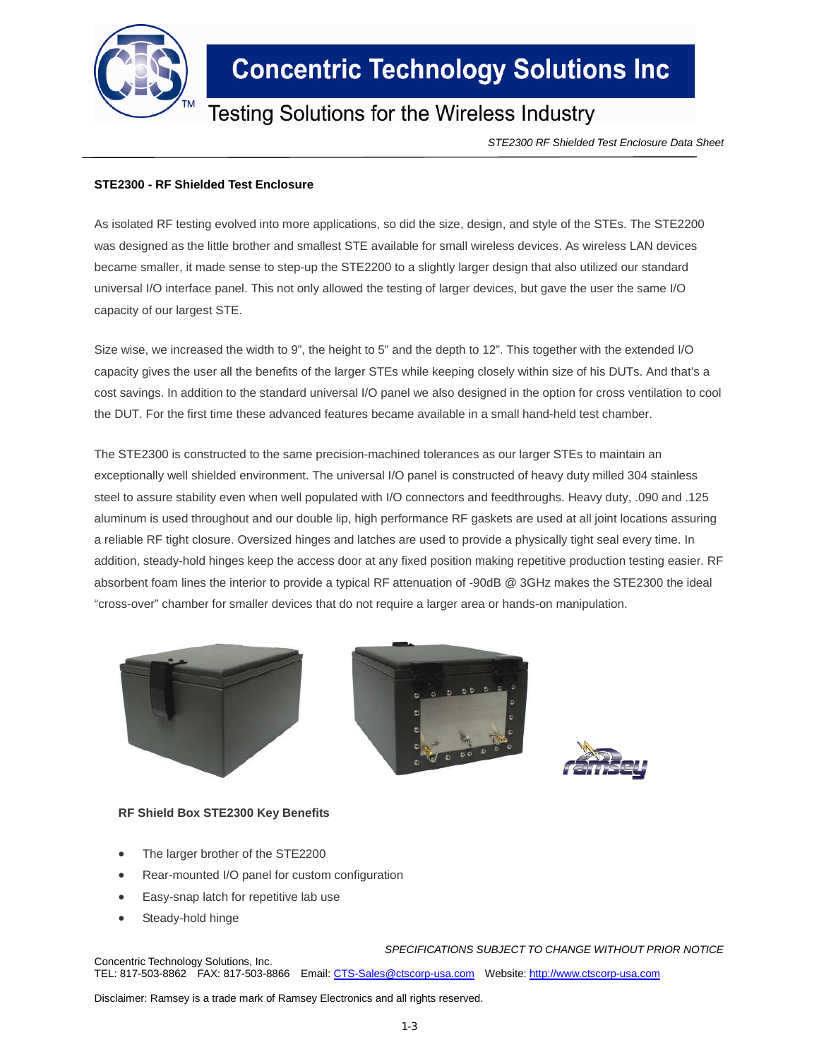

## **Concentric Technology Solutions Inc**

### Testing Solutions for the Wireless Industry

*STE2300 RF Shielded Test Enclosure Data Sheet*

#### **STE2300 - RF Shielded Test Enclosure**

As isolated RF testing evolved into more applications, so did the size, design, and style of the STEs. The STE2200 was designed as the little brother and smallest STE available for small wireless devices. As wireless LAN devices became smaller, it made sense to step-up the STE2200 to a slightly larger design that also utilized our standard universal I/O interface panel. This not only allowed the testing of larger devices, but gave the user the same I/O capacity of our largest STE.

Size wise, we increased the width to 9", the height to 5" and the depth to 12". This together with the extended I/O capacity gives the user all the benefits of the larger STEs while keeping closely within size of his DUTs. And that's a cost savings. In addition to the standard universal I/O panel we also designed in the option for cross ventilation to cool the DUT. For the first time these advanced features became available in a small hand-held test chamber.

The STE2300 is constructed to the same precision-machined tolerances as our larger STEs to maintain an exceptionally well shielded environment. The universal I/O panel is constructed of heavy duty milled 304 stainless steel to assure stability even when well populated with I/O connectors and feedthroughs. Heavy duty, .090 and .125 aluminum is used throughout and our double lip, high performance RF gaskets are used at all joint locations assuring a reliable RF tight closure. Oversized hinges and latches are used to provide a physically tight seal every time. In addition, steady-hold hinges keep the access door at any fixed position making repetitive production testing easier. RF absorbent foam lines the interior to provide a typical RF attenuation of -90dB @ 3GHz makes the STE2300 the ideal "cross-over" chamber for smaller devices that do not require a larger area or hands-on manipulation.







#### **RF Shield Box STE2300 Key Benefits**

- The larger brother of the STE2200
- Rear-mounted I/O panel for custom configuration
- Easy-snap latch for repetitive lab use
- Steady-hold hinge

*SPECIFICATIONS SUBJECT TO CHANGE WITHOUT PRIOR NOTICE* Concentric Technology Solutions, Inc. TEL: 817-503-8862 FAX: 817-503-8866 Email: CTS-Sales@ctscorp-usa.com Website: http://www.ctscorp-usa.com

Disclaimer: Ramsey is a trade mark of Ramsey Electronics and all rights reserved.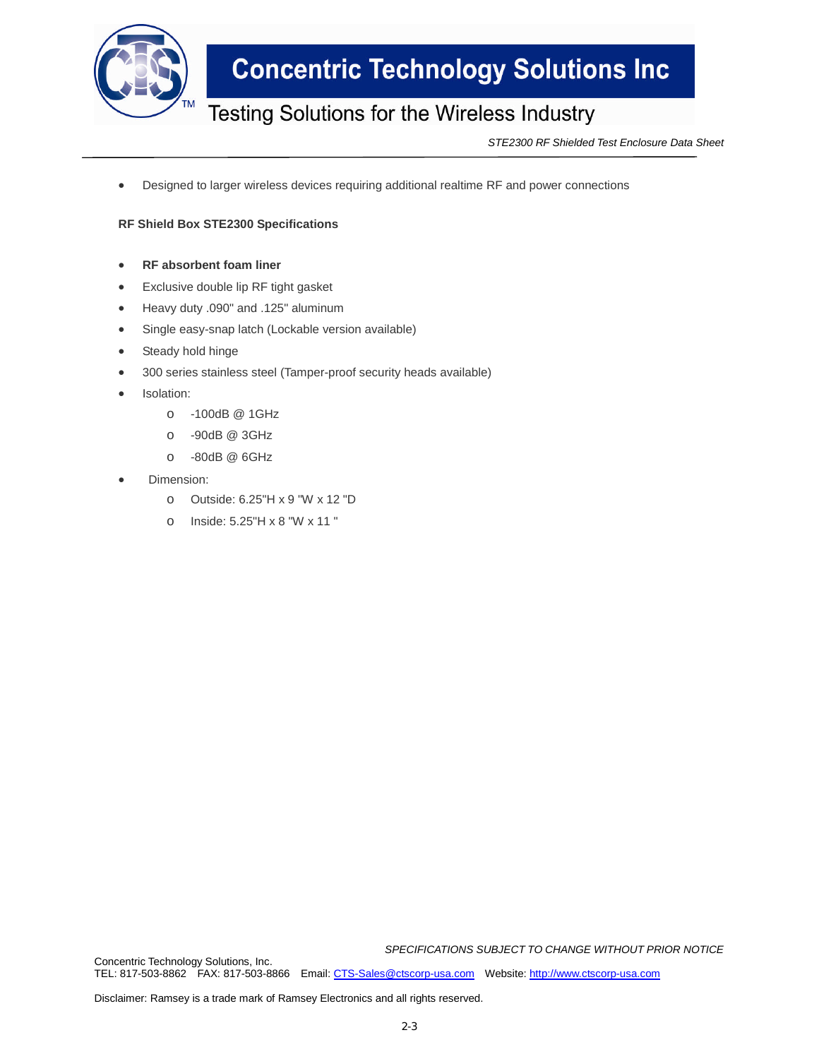

## **Concentric Technology Solutions Inc**

### Testing Solutions for the Wireless Industry

*STE2300 RF Shielded Test Enclosure Data Sheet*

Designed to larger wireless devices requiring additional realtime RF and power connections

#### **RF Shield Box STE2300 Specifications**

- **RF absorbent foam liner**
- Exclusive double lip RF tight gasket
- Heavy duty .090" and .125" aluminum
- Single easy-snap latch (Lockable version available)
- Steady hold hinge
- 300 series stainless steel (Tamper-proof security heads available)
- Isolation:
	- o -100dB @ 1GHz
	- o -90dB @ 3GHz
	- o -80dB @ 6GHz
- Dimension:
	- o Outside: 6.25"H x 9 "W x 12 "D
	- o Inside: 5.25"H x 8 "W x 11 "

*SPECIFICATIONS SUBJECT TO CHANGE WITHOUT PRIOR NOTICE*

Concentric Technology Solutions, Inc. TEL: 817-503-8862 FAX: 817-503-8866 Email: CTS-Sales@ctscorp-usa.com Website: http://www.ctscorp-usa.com

Disclaimer: Ramsey is a trade mark of Ramsey Electronics and all rights reserved.